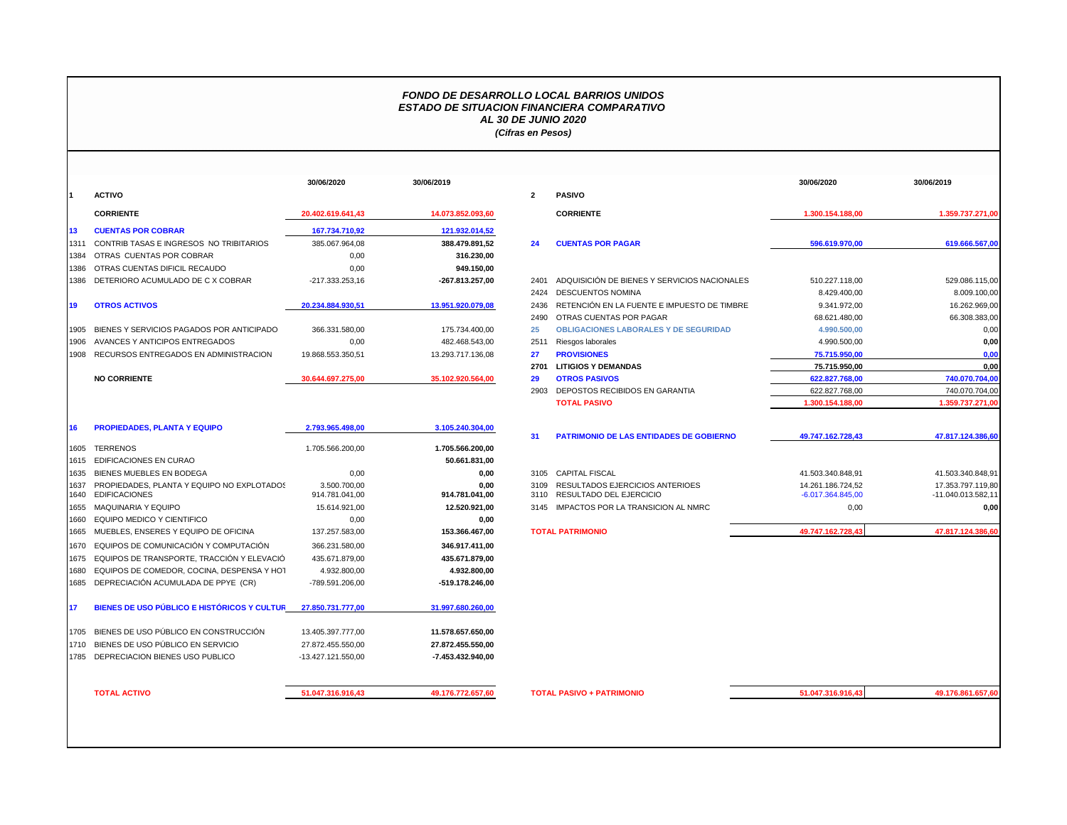## *FONDO DE DESARROLLO LOCAL BARRIOS UNIDOS ESTADO DE SITUACION FINANCIERA COMPARATIVO AL 30 DE JUNIO 2020 (Cifras en Pesos)*

|              |                                                                    | 30/06/2020         | 30/06/2019                                                                                                                                                                                                                                                                                                                                                                                                                                                                                                                                    |              |                                |
|--------------|--------------------------------------------------------------------|--------------------|-----------------------------------------------------------------------------------------------------------------------------------------------------------------------------------------------------------------------------------------------------------------------------------------------------------------------------------------------------------------------------------------------------------------------------------------------------------------------------------------------------------------------------------------------|--------------|--------------------------------|
| 1            | <b>ACTIVO</b>                                                      |                    |                                                                                                                                                                                                                                                                                                                                                                                                                                                                                                                                               | $\mathbf{2}$ | <b>PASIVO</b>                  |
|              | <b>CORRIENTE</b>                                                   | 20.402.619.641.43  | 14.073.852.093,60                                                                                                                                                                                                                                                                                                                                                                                                                                                                                                                             |              | <b>CORRIE</b>                  |
| 13           | <b>CUENTAS POR COBRAR</b>                                          | 167.734.710,92     | 121.932.014,52                                                                                                                                                                                                                                                                                                                                                                                                                                                                                                                                |              |                                |
| 1311         | CONTRIB TASAS E INGRESOS NO TRIBITARIOS                            | 385.067.964,08     | 388.479.891,52                                                                                                                                                                                                                                                                                                                                                                                                                                                                                                                                | 24           | <b>CUENT/</b>                  |
| 1384         | OTRAS CUENTAS POR COBRAR                                           | 0.00               | 316.230,00                                                                                                                                                                                                                                                                                                                                                                                                                                                                                                                                    |              |                                |
| 1386         | OTRAS CUENTAS DIFICIL RECAUDO                                      | 0.00               | 949.150.00                                                                                                                                                                                                                                                                                                                                                                                                                                                                                                                                    |              |                                |
| 1386         | DETERIORO ACUMULADO DE C X COBRAR                                  | -217.333.253,16    | -267.813.257,00                                                                                                                                                                                                                                                                                                                                                                                                                                                                                                                               | 2401         | <b>ADQUIS</b>                  |
|              |                                                                    |                    |                                                                                                                                                                                                                                                                                                                                                                                                                                                                                                                                               | 2424         | <b>DESCUI</b>                  |
| 19           | <b>OTROS ACTIVOS</b>                                               | 20.234.884.930,51  | 13.951.920.079,08                                                                                                                                                                                                                                                                                                                                                                                                                                                                                                                             | 2436         | <b>RETENO</b>                  |
|              |                                                                    |                    |                                                                                                                                                                                                                                                                                                                                                                                                                                                                                                                                               | 2490         | <b>OTRAS</b>                   |
| 1905         | BIENES Y SERVICIOS PAGADOS POR ANTICIPADO                          | 366.331.580.00     | 175.734.400,00                                                                                                                                                                                                                                                                                                                                                                                                                                                                                                                                | 25           | <b>OBLIGA</b>                  |
| 1906         | AVANCES Y ANTICIPOS ENTREGADOS                                     | 0.00               | 482.468.543.00                                                                                                                                                                                                                                                                                                                                                                                                                                                                                                                                | 2511         | Riesgos                        |
| 1908         | RECURSOS ENTREGADOS EN ADMINISTRACION                              | 19.868.553.350,51  | 13.293.717.136,08<br>35.102.920.564,00<br>3.105.240.304,00<br>1.705.566.200,00<br>50.661.831,00<br>0.00<br>0.00<br>3.500.700.00<br>0.00<br>914.781.041.00<br>914.781.041,00<br>15.614.921.00<br>12.520.921,00<br>0,00<br>0,00<br>137.257.583,00<br>153.366.467,00<br>346.917.411,00<br>366.231.580,00<br>435.671.879,00<br>435.671.879,00<br>4.932.800,00<br>4.932.800,00<br>-789.591.206,00<br>-519.178.246,00<br>31.997.680.260,00<br>11.578.657.650,00<br>27.872.455.550,00<br>-7.453.432.940,00<br>51.047.316.916,43<br>49.176.772.657,60 | 27           | <b>PROVIS</b>                  |
|              |                                                                    |                    |                                                                                                                                                                                                                                                                                                                                                                                                                                                                                                                                               | 2701         | <b>LITIGIO</b>                 |
| 1685         | <b>NO CORRIENTE</b>                                                | 30.644.697.275,00  |                                                                                                                                                                                                                                                                                                                                                                                                                                                                                                                                               | 29           | <b>OTROS</b>                   |
|              |                                                                    |                    |                                                                                                                                                                                                                                                                                                                                                                                                                                                                                                                                               | 2903         | DEPOS <sup>-</sup>             |
|              |                                                                    |                    |                                                                                                                                                                                                                                                                                                                                                                                                                                                                                                                                               |              | <b>TOTAL</b>                   |
| 16           | <b>PROPIEDADES, PLANTA Y EQUIPO</b>                                | 2.793.965.498,00   |                                                                                                                                                                                                                                                                                                                                                                                                                                                                                                                                               | 31           | <b>PATRIM</b>                  |
| 1605         | <b>TERRENOS</b>                                                    | 1.705.566.200,00   |                                                                                                                                                                                                                                                                                                                                                                                                                                                                                                                                               |              |                                |
| 1615         | EDIFICACIONES EN CURAO                                             |                    |                                                                                                                                                                                                                                                                                                                                                                                                                                                                                                                                               |              |                                |
| 1635         | BIENES MUEBLES EN BODEGA                                           |                    |                                                                                                                                                                                                                                                                                                                                                                                                                                                                                                                                               | 3105         | CAPITA                         |
| 1637<br>1640 | PROPIEDADES, PLANTA Y EQUIPO NO EXPLOTADOS<br><b>EDIFICACIONES</b> |                    |                                                                                                                                                                                                                                                                                                                                                                                                                                                                                                                                               | 3109<br>3110 | <b>RESULT</b><br><b>RESULT</b> |
| 1655         | <b>MAQUINARIA Y EQUIPO</b>                                         |                    |                                                                                                                                                                                                                                                                                                                                                                                                                                                                                                                                               | 3145         | <b>IMPACT</b>                  |
| 1660         | EQUIPO MEDICO Y CIENTIFICO                                         |                    |                                                                                                                                                                                                                                                                                                                                                                                                                                                                                                                                               |              |                                |
| 1665         | MUEBLES, ENSERES Y EQUIPO DE OFICINA                               |                    |                                                                                                                                                                                                                                                                                                                                                                                                                                                                                                                                               |              | <b>TOTAL PATRIN</b>            |
| 1670         | EQUIPOS DE COMUNICACIÓN Y COMPUTACIÓN                              |                    |                                                                                                                                                                                                                                                                                                                                                                                                                                                                                                                                               |              |                                |
| 1675         | EQUIPOS DE TRANSPORTE, TRACCIÓN Y ELEVACIÓ                         |                    |                                                                                                                                                                                                                                                                                                                                                                                                                                                                                                                                               |              |                                |
| 1680         | EQUIPOS DE COMEDOR, COCINA, DESPENSA Y HOT                         |                    |                                                                                                                                                                                                                                                                                                                                                                                                                                                                                                                                               |              |                                |
|              | DEPRECIACIÓN ACUMULADA DE PPYE (CR)                                |                    |                                                                                                                                                                                                                                                                                                                                                                                                                                                                                                                                               |              |                                |
| 17           | BIENES DE USO PÚBLICO E HISTÓRICOS Y CULTUR                        | 27.850.731.777,00  |                                                                                                                                                                                                                                                                                                                                                                                                                                                                                                                                               |              |                                |
| 1705         | BIENES DE USO PÚBLICO EN CONSTRUCCIÓN                              | 13.405.397.777,00  |                                                                                                                                                                                                                                                                                                                                                                                                                                                                                                                                               |              |                                |
| 1710         | BIENES DE USO PÚBLICO EN SERVICIO                                  | 27.872.455.550,00  |                                                                                                                                                                                                                                                                                                                                                                                                                                                                                                                                               |              |                                |
| 1785         | DEPRECIACION BIENES USO PUBLICO                                    | -13.427.121.550,00 |                                                                                                                                                                                                                                                                                                                                                                                                                                                                                                                                               |              |                                |
|              |                                                                    |                    |                                                                                                                                                                                                                                                                                                                                                                                                                                                                                                                                               |              |                                |
|              | <b>TOTAL ACTIVO</b>                                                |                    |                                                                                                                                                                                                                                                                                                                                                                                                                                                                                                                                               |              | <b>TOTAL PASIVO</b>            |

|      |                                                 | 30/06/2020         | 30/06/2019        |              |                                                | 30/06/2020          | 30/06/2019         |
|------|-------------------------------------------------|--------------------|-------------------|--------------|------------------------------------------------|---------------------|--------------------|
|      | <b>ACTIVO</b>                                   |                    |                   | $\mathbf{2}$ | <b>PASIVO</b>                                  |                     |                    |
|      | <b>CORRIENTE</b>                                | 20.402.619.641,43  | 14.073.852.093,60 |              | <b>CORRIENTE</b>                               | 1.300.154.188,00    | 1.359.737.271,00   |
| 13   | <b>CUENTAS POR COBRAR</b>                       | 167.734.710,92     | 121.932.014,52    |              |                                                |                     |                    |
| 1311 | CONTRIB TASAS E INGRESOS NO TRIBITARIOS         | 385.067.964,08     | 388.479.891,52    | 24           | <b>CUENTAS POR PAGAR</b>                       | 596.619.970,00      | 619.666.567,00     |
|      | 1384 OTRAS CUENTAS POR COBRAR                   | 0,00               | 316.230,00        |              |                                                |                     |                    |
|      | 1386 OTRAS CUENTAS DIFICIL RECAUDO              | 0,00               | 949.150,00        |              |                                                |                     |                    |
|      | 1386 DETERIORO ACUMULADO DE CX COBRAR           | $-217.333.253.16$  | -267.813.257,00   | 2401         | ADQUISICIÓN DE BIENES Y SERVICIOS NACIONALES   | 510.227.118,00      | 529.086.115,00     |
|      |                                                 |                    |                   | 2424         | <b>DESCUENTOS NOMINA</b>                       | 8.429.400,00        | 8.009.100,00       |
| 19   | <b>OTROS ACTIVOS</b>                            | 20.234.884.930.51  | 13.951.920.079,08 | 2436         | RETENCIÓN EN LA FUENTE E IMPUESTO DE TIMBRE    | 9.341.972,00        | 16.262.969,00      |
|      |                                                 |                    |                   | 2490         | OTRAS CUENTAS POR PAGAR                        | 68.621.480,00       | 66.308.383,00      |
|      | 1905 BIENES Y SERVICIOS PAGADOS POR ANTICIPADO  | 366.331.580,00     | 175.734.400,00    | 25           | <b>OBLIGACIONES LABORALES Y DE SEGURIDAD</b>   | 4.990.500,00        | 0,00               |
|      | 1906 AVANCES Y ANTICIPOS ENTREGADOS             | 0,00               | 482.468.543,00    | 2511         | Riesgos laborales                              | 4.990.500,00        | 0,00               |
|      | 1908 RECURSOS ENTREGADOS EN ADMINISTRACION      | 19.868.553.350,51  | 13.293.717.136,08 | 27           | <b>PROVISIONES</b>                             | 75.715.950,00       | 0.00               |
|      |                                                 |                    |                   | 2701         | <b>LITIGIOS Y DEMANDAS</b>                     | 75.715.950,00       | 0,00               |
|      | <b>NO CORRIENTE</b>                             | 30.644.697.275,00  | 35.102.920.564,00 | 29           | <b>OTROS PASIVOS</b>                           | 622.827.768,00      | 740.070.704,00     |
|      |                                                 |                    |                   | 2903         | DEPOSTOS RECIBIDOS EN GARANTIA                 | 622.827.768.00      | 740.070.704,00     |
|      |                                                 |                    |                   |              | <b>TOTAL PASIVO</b>                            | 1.300.154.188,00    | 1.359.737.271,00   |
| 16   | <b>PROPIEDADES, PLANTA Y EQUIPO</b>             | 2.793.965.498,00   | 3.105.240.304,00  | 31           | <b>PATRIMONIO DE LAS ENTIDADES DE GOBIERNO</b> | 49.747.162.728.43   | 47.817.124.386,60  |
|      | 1605 TERRENOS                                   | 1.705.566.200,00   | 1.705.566.200.00  |              |                                                |                     |                    |
|      | 1615 EDIFICACIONES EN CURAO                     |                    | 50.661.831,00     |              |                                                |                     |                    |
|      | 1635 BIENES MUEBLES EN BODEGA                   | 0,00               | 0,00              |              | 3105 CAPITAL FISCAL                            | 41.503.340.848,91   | 41.503.340.848,91  |
|      | 1637 PROPIEDADES, PLANTA Y EQUIPO NO EXPLOTADOS | 3.500.700,00       | 0,00              | 3109         | RESULTADOS EJERCICIOS ANTERIOES                | 14.261.186.724,52   | 17.353.797.119,80  |
|      | 1640 EDIFICACIONES                              | 914.781.041,00     | 914.781.041,00    | 3110         | RESULTADO DEL EJERCICIO                        | $-6.017.364.845,00$ | -11.040.013.582,11 |
|      | 1655 MAQUINARIA Y EQUIPO                        | 15.614.921,00      | 12.520.921,00     |              | 3145 IMPACTOS POR LA TRANSICION AL NMRC        | 0,00                | 0,00               |
|      | 1660 EQUIPO MEDICO Y CIENTIFICO                 | 0,00               | 0,00              |              |                                                |                     |                    |
|      | 1665 MUEBLES, ENSERES Y EQUIPO DE OFICINA       | 137.257.583,00     | 153.366.467,00    |              | <b>TOTAL PATRIMONIO</b>                        | 49.747.162.728,43   | 47.817.124.386,60  |
|      | 1670 EQUIPOS DE COMUNICACIÓN Y COMPUTACIÓN      | 366.231.580.00     | 346.917.411.00    |              |                                                |                     |                    |
|      | 1675 EQUIPOS DE TRANSPORTE, TRACCIÓN Y ELEVACIÓ | 435.671.879,00     | 435.671.879,00    |              |                                                |                     |                    |
|      | 1680 EQUIPOS DE COMEDOR, COCINA, DESPENSA Y HOT | 4.932.800,00       | 4.932.800,00      |              |                                                |                     |                    |
|      | 1685 DEPRECIACIÓN ACUMULADA DE PPYE (CR)        | -789.591.206,00    | -519.178.246,00   |              |                                                |                     |                    |
| 17   | BIENES DE USO PÚBLICO E HISTÓRICOS Y CULTUR     | 27.850.731.777,00  | 31.997.680.260,00 |              |                                                |                     |                    |
|      | 1705 BIENES DE USO PÚBLICO EN CONSTRUCCIÓN      | 13.405.397.777,00  | 11.578.657.650,00 |              |                                                |                     |                    |
|      | 1710 BIENES DE USO PÚBLICO EN SERVICIO          | 27.872.455.550,00  | 27.872.455.550,00 |              |                                                |                     |                    |
|      | 1785 DEPRECIACION BIENES USO PUBLICO            | -13.427.121.550,00 | -7.453.432.940,00 |              |                                                |                     |                    |

**TOTAL ACTIVO 51.047.316.916,43 49.176.772.657,60 TOTAL PASIVO + PATRIMONIO 51.047.316.916,43 49.176.861.657,60**